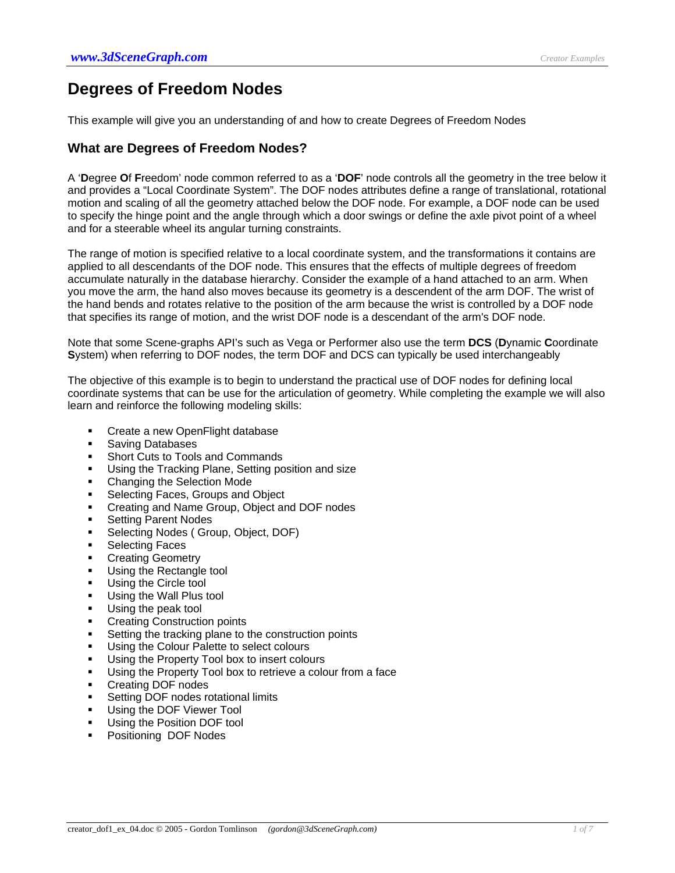# **Degrees of Freedom Nodes**

This example will give you an understanding of and how to create Degrees of Freedom Nodes

# **What are Degrees of Freedom Nodes?**

A '**D**egree **O**f **F**reedom' node common referred to as a '**DOF**' node controls all the geometry in the tree below it and provides a "Local Coordinate System". The DOF nodes attributes define a range of translational, rotational motion and scaling of all the geometry attached below the DOF node. For example, a DOF node can be used to specify the hinge point and the angle through which a door swings or define the axle pivot point of a wheel and for a steerable wheel its angular turning constraints.

The range of motion is specified relative to a local coordinate system, and the transformations it contains are applied to all descendants of the DOF node. This ensures that the effects of multiple degrees of freedom accumulate naturally in the database hierarchy. Consider the example of a hand attached to an arm. When you move the arm, the hand also moves because its geometry is a descendent of the arm DOF. The wrist of the hand bends and rotates relative to the position of the arm because the wrist is controlled by a DOF node that specifies its range of motion, and the wrist DOF node is a descendant of the arm's DOF node.

Note that some Scene-graphs API's such as Vega or Performer also use the term **DCS** (**D**ynamic **C**oordinate **S**ystem) when referring to DOF nodes, the term DOF and DCS can typically be used interchangeably

The objective of this example is to begin to understand the practical use of DOF nodes for defining local coordinate systems that can be use for the articulation of geometry. While completing the example we will also learn and reinforce the following modeling skills:

- Create a new OpenFlight database
- Saving Databases
- Short Cuts to Tools and Commands
- Using the Tracking Plane, Setting position and size
- Changing the Selection Mode
- Selecting Faces, Groups and Object
- Creating and Name Group, Object and DOF nodes
- Setting Parent Nodes
- Selecting Nodes ( Group, Object, DOF)
- Selecting Faces
- Creating Geometry
- Using the Rectangle tool
- Using the Circle tool
- **Using the Wall Plus tool**
- Using the peak tool
- Creating Construction points
- Setting the tracking plane to the construction points
- Using the Colour Palette to select colours
- Using the Property Tool box to insert colours
- Using the Property Tool box to retrieve a colour from a face
- Creating DOF nodes
- Setting DOF nodes rotational limits
- Using the DOF Viewer Tool
- Using the Position DOF tool
- Positioning DOF Nodes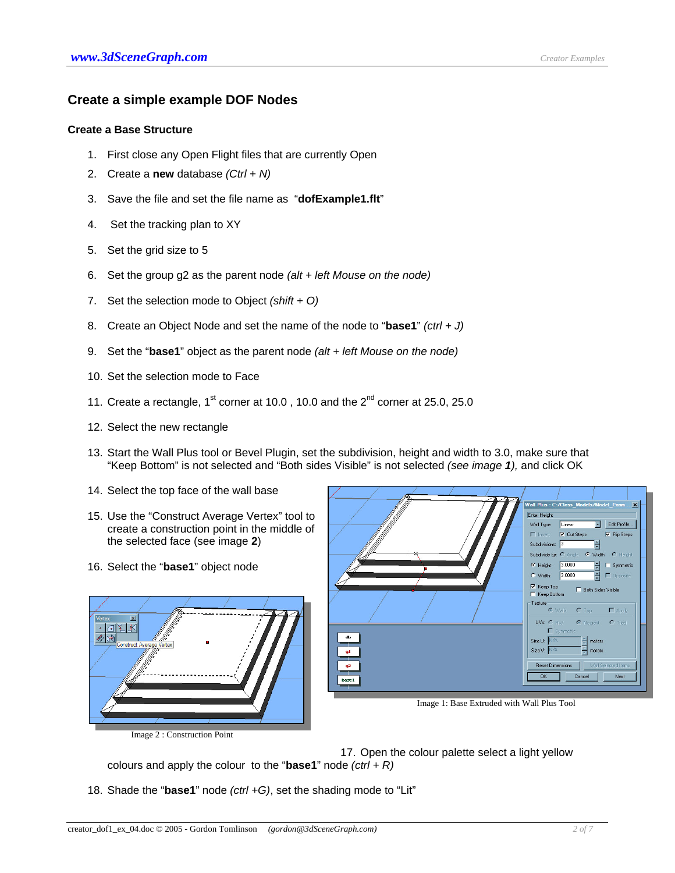# **Create a simple example DOF Nodes**

## **Create a Base Structure**

- 1. First close any Open Flight files that are currently Open
- 2. Create a **new** database *(Ctrl + N)*
- 3. Save the file and set the file name as "**dofExample1.flt**"
- 4. Set the tracking plan to XY
- 5. Set the grid size to 5
- 6. Set the group g2 as the parent node *(alt + left Mouse on the node)*
- 7. Set the selection mode to Object *(shift + O)*
- 8. Create an Object Node and set the name of the node to "**base1**" *(ctrl + J)*
- 9. Set the "**base1**" object as the parent node *(alt + left Mouse on the node)*
- 10. Set the selection mode to Face
- 11. Create a rectangle,  $1^{st}$  corner at 10.0, 10.0 and the  $2^{nd}$  corner at 25.0, 25.0
- 12. Select the new rectangle
- 13. Start the Wall Plus tool or Bevel Plugin, set the subdivision, height and width to 3.0, make sure that "Keep Bottom" is not selected and "Both sides Visible" is not selected *(see image 1),* and click OK
- 14. Select the top face of the wall base
- 15. Use the "Construct Average Vertex" tool to create a construction point in the middle of the selected face (see image **2**)
- 16. Select the "**base1**" object node





Image 1: Base Extruded with Wall Plus Tool

17. Open the colour palette select a light yellow

colours and apply the colour to the "**base1**" node *(ctrl + R)*

18. Shade the "**base1**" node *(ctrl +G)*, set the shading mode to "Lit"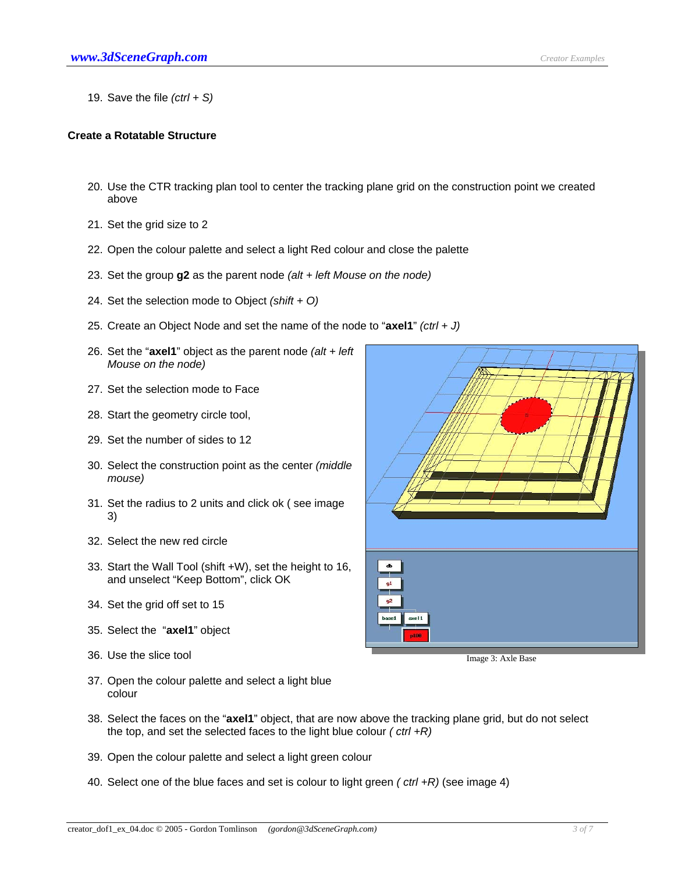19. Save the file *(ctrl + S)*

#### **Create a Rotatable Structure**

- 20. Use the CTR tracking plan tool to center the tracking plane grid on the construction point we created above
- 21. Set the grid size to 2
- 22. Open the colour palette and select a light Red colour and close the palette
- 23. Set the group **g2** as the parent node *(alt + left Mouse on the node)*
- 24. Set the selection mode to Object *(shift + O)*
- 25. Create an Object Node and set the name of the node to "**axel1**" *(ctrl + J)*
- 26. Set the "**axel1**" object as the parent node *(alt + left Mouse on the node)*
- 27. Set the selection mode to Face
- 28. Start the geometry circle tool,
- 29. Set the number of sides to 12
- 30. Select the construction point as the center *(middle mouse)*
- 31. Set the radius to 2 units and click ok ( see image 3)
- 32. Select the new red circle
- 33. Start the Wall Tool (shift +W), set the height to 16, and unselect "Keep Bottom", click OK
- 34. Set the grid off set to 15
- 35. Select the "**axel1**" object
- 36. Use the slice tool in the slice tool in the state Base of the Image 3: Axle Base
- $\bf{d}$  $91$  $q<sub>2</sub>$ base1 axe 11 n198

- 37. Open the colour palette and select a light blue colour
- 38. Select the faces on the "**axel1**" object, that are now above the tracking plane grid, but do not select the top, and set the selected faces to the light blue colour *( ctrl +R)*
- 39. Open the colour palette and select a light green colour
- 40. Select one of the blue faces and set is colour to light green *( ctrl +R)* (see image 4)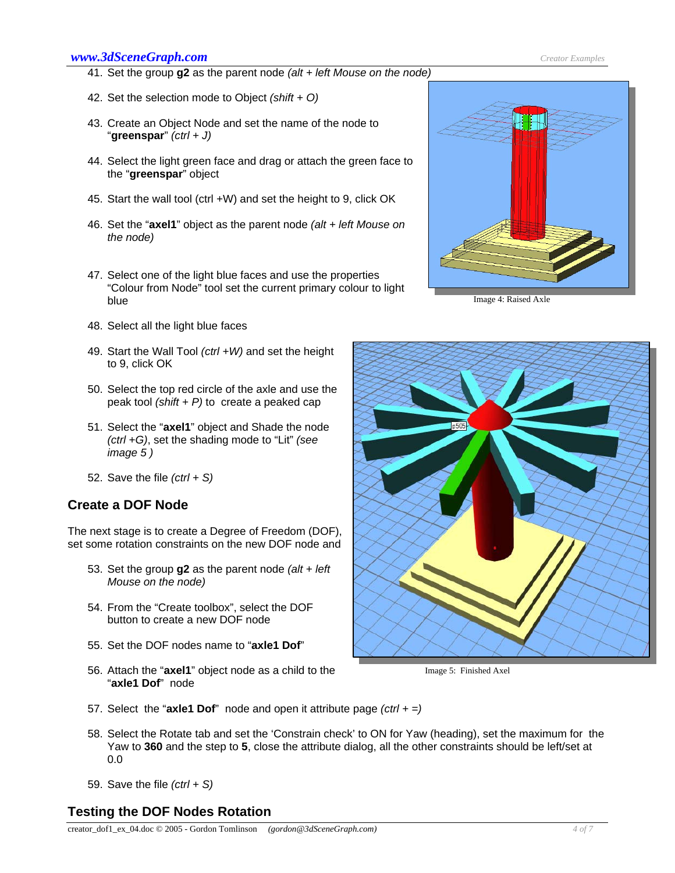### *www.3dSceneGraph.com Creator Examples*

- 41. Set the group **g2** as the parent node *(alt + left Mouse on the node)*
- 42. Set the selection mode to Object *(shift + O)*
- 43. Create an Object Node and set the name of the node to "**greenspar**" *(ctrl + J)*
- 44. Select the light green face and drag or attach the green face to the "**greenspar**" object
- 45. Start the wall tool (ctrl +W) and set the height to 9, click OK
- 46. Set the "**axel1**" object as the parent node *(alt + left Mouse on the node)*
- 47. Select one of the light blue faces and use the properties "Colour from Node" tool set the current primary colour to light blue
- 48. Select all the light blue faces
- 49. Start the Wall Tool *(ctrl +W)* and set the height to 9, click OK
- 50. Select the top red circle of the axle and use the peak tool *(shift + P)* to create a peaked cap
- 51. Select the "**axel1**" object and Shade the node *(ctrl +G)*, set the shading mode to "Lit" *(see image 5 )*
- 52. Save the file *(ctrl + S)*

# **Create a DOF Node**

The next stage is to create a Degree of Freedom (DOF), set some rotation constraints on the new DOF node and

- 53. Set the group **g2** as the parent node *(alt + left Mouse on the node)*
- 54. From the "Create toolbox", select the DOF button to create a new DOF node
- 55. Set the DOF nodes name to "**axle1 Dof**"
- 56. Attach the "**axel1**" object node as a child to the "**axle1 Dof**" node



Image 4: Raised Axle



Image 5: Finished Axel

- 57. Select the "**axle1 Dof**" node and open it attribute page *(ctrl + =)*
- 58. Select the Rotate tab and set the 'Constrain check' to ON for Yaw (heading), set the maximum for the Yaw to **360** and the step to **5**, close the attribute dialog, all the other constraints should be left/set at 0.0
- 59. Save the file *(ctrl + S)*

# **Testing the DOF Nodes Rotation**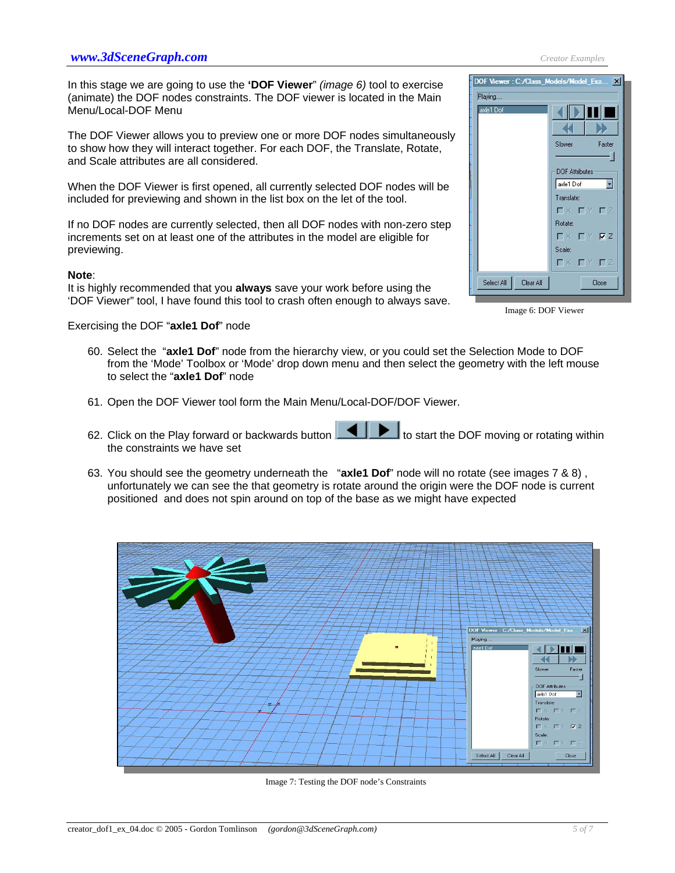In this stage we are going to use the **'DOF Viewer**" *(image 6)* tool to exercise (animate) the DOF nodes constraints. The DOF viewer is located in the Main Menu/Local-DOF Menu

The DOF Viewer allows you to preview one or more DOF nodes simultaneously to show how they will interact together. For each DOF, the Translate, Rotate, and Scale attributes are all considered.

When the DOF Viewer is first opened, all currently selected DOF nodes will be included for previewing and shown in the list box on the let of the tool.

If no DOF nodes are currently selected, then all DOF nodes with non-zero step increments set on at least one of the attributes in the model are eligible for previewing.

#### **Note**:

It is highly recommended that you **always** save your work before using the 'DOF Viewer" tool, I have found this tool to crash often enough to always save.

Exercising the DOF "**axle1 Dof**" node

- 60. Select the "**axle1 Dof**" node from the hierarchy view, or you could set the Selection Mode to DOF from the 'Mode' Toolbox or 'Mode' drop down menu and then select the geometry with the left mouse to select the "**axle1 Dof**" node
- 61. Open the DOF Viewer tool form the Main Menu/Local-DOF/DOF Viewer.
- 62. Click on the Play forward or backwards button  $\Box$  to start the DOF moving or rotating within the constraints we have set
- 63. You should see the geometry underneath the "**axle1 Dof**" node will no rotate (see images 7 & 8) , unfortunately we can see the that geometry is rotate around the origin were the DOF node is current positioned and does not spin around on top of the base as we might have expected



Image 7: Testing the DOF node's Constraints

Plaving vlet Dof



 $\square \times \ \square \ \ Y \ \nabla Z$ 

EX EY EZ

Close

Scale:

Image 6: DOF Viewer

Clear All

Select All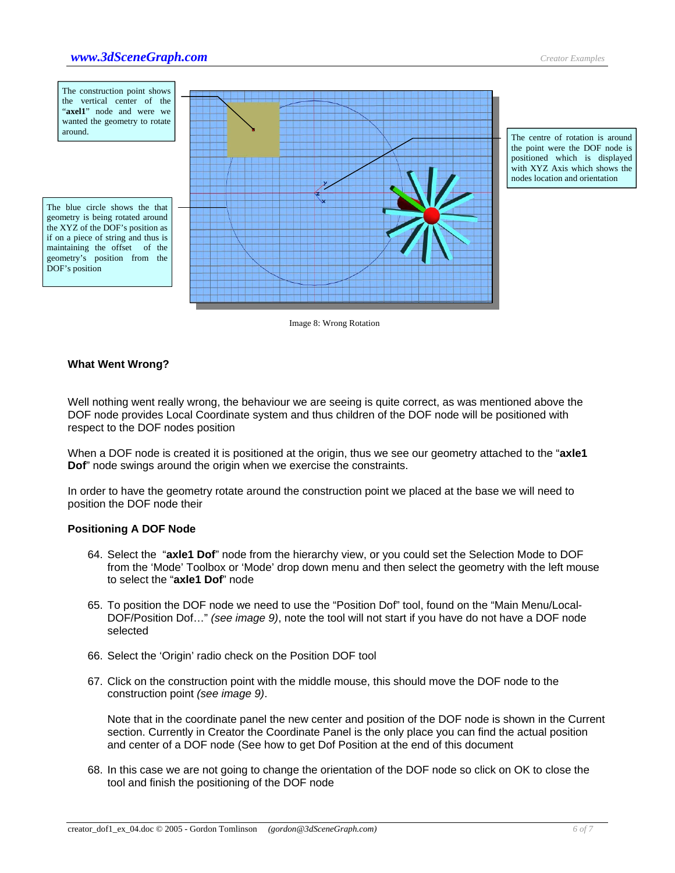

Image 8: Wrong Rotation

## **What Went Wrong?**

Well nothing went really wrong, the behaviour we are seeing is quite correct, as was mentioned above the DOF node provides Local Coordinate system and thus children of the DOF node will be positioned with respect to the DOF nodes position

When a DOF node is created it is positioned at the origin, thus we see our geometry attached to the "**axle1 Dof**" node swings around the origin when we exercise the constraints.

In order to have the geometry rotate around the construction point we placed at the base we will need to position the DOF node their

#### **Positioning A DOF Node**

- 64. Select the "**axle1 Dof**" node from the hierarchy view, or you could set the Selection Mode to DOF from the 'Mode' Toolbox or 'Mode' drop down menu and then select the geometry with the left mouse to select the "**axle1 Dof**" node
- 65. To position the DOF node we need to use the "Position Dof" tool, found on the "Main Menu/Local-DOF/Position Dof…" *(see image 9)*, note the tool will not start if you have do not have a DOF node selected
- 66. Select the 'Origin' radio check on the Position DOF tool
- 67. Click on the construction point with the middle mouse, this should move the DOF node to the construction point *(see image 9)*.

Note that in the coordinate panel the new center and position of the DOF node is shown in the Current section. Currently in Creator the Coordinate Panel is the only place you can find the actual position and center of a DOF node (See how to get Dof Position at the end of this document

68. In this case we are not going to change the orientation of the DOF node so click on OK to close the tool and finish the positioning of the DOF node